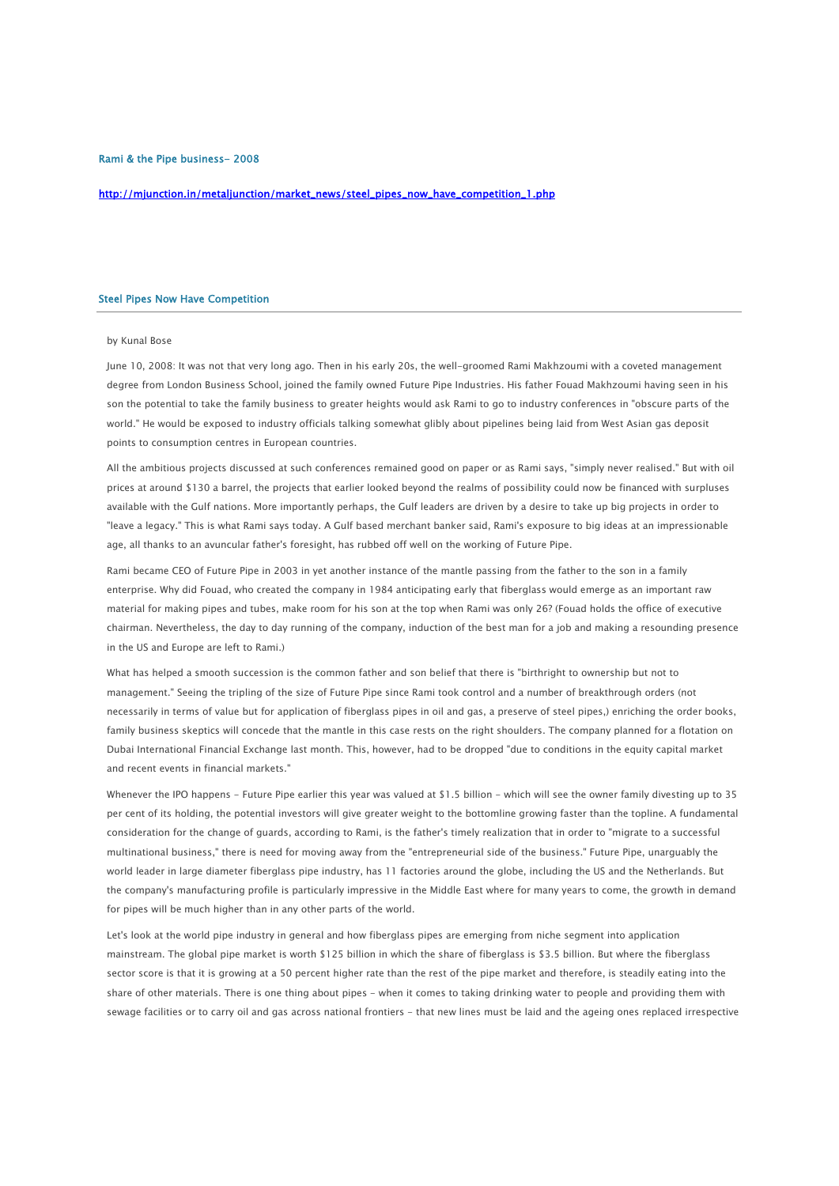## Rami & the Pipe business- 2008

http://mjunction.in/metaljunction/market\_news/steel\_pipes\_now\_have\_competition\_1.php

## Steel Pipes Now Have Competition

## by Kunal Bose

June 10, 2008: It was not that very long ago. Then in his early 20s, the well-groomed Rami Makhzoumi with a coveted management degree from London Business School, joined the family owned Future Pipe Industries. His father Fouad Makhzoumi having seen in his son the potential to take the family business to greater heights would ask Rami to go to industry conferences in "obscure parts of the world." He would be exposed to industry officials talking somewhat glibly about pipelines being laid from West Asian gas deposit points to consumption centres in European countries.

All the ambitious projects discussed at such conferences remained good on paper or as Rami says, "simply never realised." But with oil prices at around \$130 a barrel, the projects that earlier looked beyond the realms of possibility could now be financed with surpluses available with the Gulf nations. More importantly perhaps, the Gulf leaders are driven by a desire to take up big projects in order to "leave a legacy." This is what Rami says today. A Gulf based merchant banker said, Rami's exposure to big ideas at an impressionable age, all thanks to an avuncular father's foresight, has rubbed off well on the working of Future Pipe.

Rami became CEO of Future Pipe in 2003 in yet another instance of the mantle passing from the father to the son in a family enterprise. Why did Fouad, who created the company in 1984 anticipating early that fiberglass would emerge as an important raw material for making pipes and tubes, make room for his son at the top when Rami was only 26? (Fouad holds the office of executive chairman. Nevertheless, the day to day running of the company, induction of the best man for a job and making a resounding presence in the US and Europe are left to Rami.)

What has helped a smooth succession is the common father and son belief that there is "birthright to ownership but not to management." Seeing the tripling of the size of Future Pipe since Rami took control and a number of breakthrough orders (not necessarily in terms of value but for application of fiberglass pipes in oil and gas, a preserve of steel pipes,) enriching the order books, family business skeptics will concede that the mantle in this case rests on the right shoulders. The company planned for a flotation on Dubai International Financial Exchange last month. This, however, had to be dropped "due to conditions in the equity capital market and recent events in financial markets."

Whenever the IPO happens - Future Pipe earlier this year was valued at \$1.5 billion - which will see the owner family divesting up to 35 per cent of its holding, the potential investors will give greater weight to the bottomline growing faster than the topline. A fundamental consideration for the change of guards, according to Rami, is the father's timely realization that in order to "migrate to a successful multinational business," there is need for moving away from the "entrepreneurial side of the business." Future Pipe, unarguably the world leader in large diameter fiberglass pipe industry, has 11 factories around the globe, including the US and the Netherlands. But the company's manufacturing profile is particularly impressive in the Middle East where for many years to come, the growth in demand for pipes will be much higher than in any other parts of the world.

Let's look at the world pipe industry in general and how fiberglass pipes are emerging from niche segment into application mainstream. The global pipe market is worth \$125 billion in which the share of fiberglass is \$3.5 billion. But where the fiberglass sector score is that it is growing at a 50 percent higher rate than the rest of the pipe market and therefore, is steadily eating into the share of other materials. There is one thing about pipes - when it comes to taking drinking water to people and providing them with sewage facilities or to carry oil and gas across national frontiers - that new lines must be laid and the ageing ones replaced irrespective